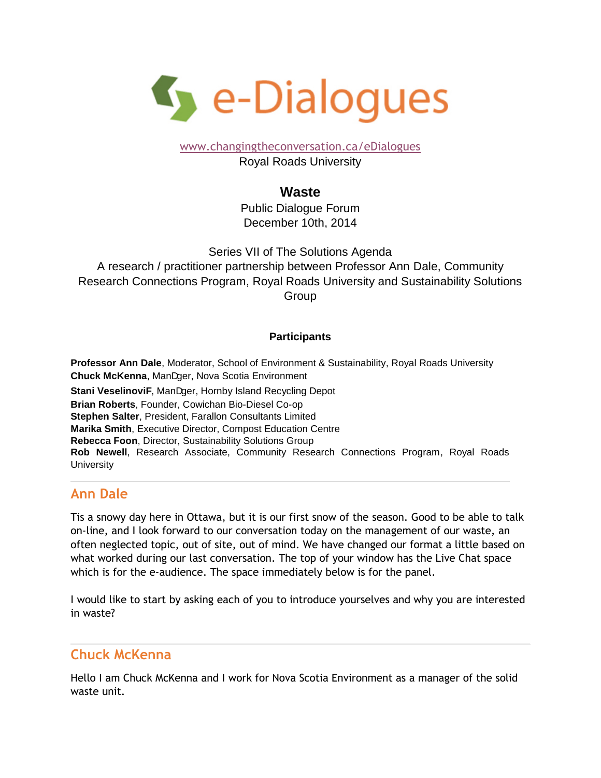

[www.changingtheconversation.ca/eDialogues](http://www.changingtheconversation.ca/eDialogues)

Royal Roads University

#### **Waste**

Public Dialogue Forum December 10th, 2014

Series VII of The Solutions Agenda A research / practitioner partnership between Professor Ann Dale, Community Research Connections Program, Royal Roads University and Sustainability Solutions Group

#### **Participants**

**Professor Ann Dale**, Moderator, School of Environment & Sustainability, Royal Roads University **Chuck McKenna, Manager, Nova Scotia Environment Stani VeselinoviW** Manager, Hornby Island Recycling Depot **Brian Roberts**, Founder, Cowichan Bio-Diesel Co-op **Stephen Salter**, President, Farallon Consultants Limited **Marika Smith**, Executive Director, Compost Education Centre **Rebecca Foon**, Director, Sustainability Solutions Group **Rob Newell**, Research Associate, Community Research Connections Program, Royal Roads **University** 

# **Ann Dale**

Tis a snowy day here in Ottawa, but it is our first snow of the season. Good to be able to talk on-line, and I look forward to our conversation today on the management of our waste, an often neglected topic, out of site, out of mind. We have changed our format a little based on what worked during our last conversation. The top of your window has the Live Chat space which is for the e-audience. The space immediately below is for the panel.

I would like to start by asking each of you to introduce yourselves and why you are interested in waste?

# **Chuck McKenna**

Hello I am Chuck McKenna and I work for Nova Scotia Environment as a manager of the solid waste unit.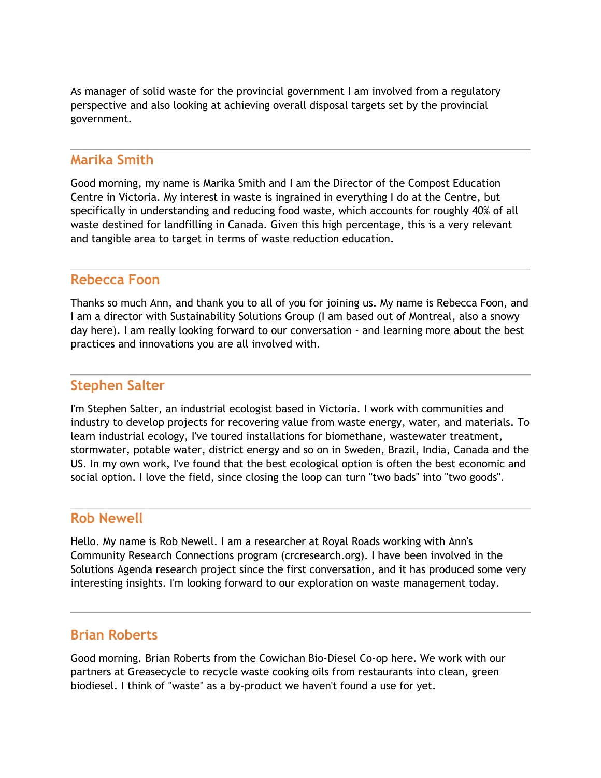As manager of solid waste for the provincial government I am involved from a regulatory perspective and also looking at achieving overall disposal targets set by the provincial government.

#### **Marika Smith**

Good morning, my name is Marika Smith and I am the Director of the Compost Education Centre in Victoria. My interest in waste is ingrained in everything I do at the Centre, but specifically in understanding and reducing food waste, which accounts for roughly 40% of all waste destined for landfilling in Canada. Given this high percentage, this is a very relevant and tangible area to target in terms of waste reduction education.

### **Rebecca Foon**

Thanks so much Ann, and thank you to all of you for joining us. My name is Rebecca Foon, and I am a director with Sustainability Solutions Group (I am based out of Montreal, also a snowy day here). I am really looking forward to our conversation - and learning more about the best practices and innovations you are all involved with.

## **Stephen Salter**

I'm Stephen Salter, an industrial ecologist based in Victoria. I work with communities and industry to develop projects for recovering value from waste energy, water, and materials. To learn industrial ecology, I've toured installations for biomethane, wastewater treatment, stormwater, potable water, district energy and so on in Sweden, Brazil, India, Canada and the US. In my own work, I've found that the best ecological option is often the best economic and social option. I love the field, since closing the loop can turn "two bads" into "two goods".

### **Rob Newell**

Hello. My name is Rob Newell. I am a researcher at Royal Roads working with Ann's Community Research Connections program (crcresearch.org). I have been involved in the Solutions Agenda research project since the first conversation, and it has produced some very interesting insights. I'm looking forward to our exploration on waste management today.

#### **Brian Roberts**

Good morning. Brian Roberts from the Cowichan Bio-Diesel Co-op here. We work with our partners at Greasecycle to recycle waste cooking oils from restaurants into clean, green biodiesel. I think of "waste" as a by-product we haven't found a use for yet.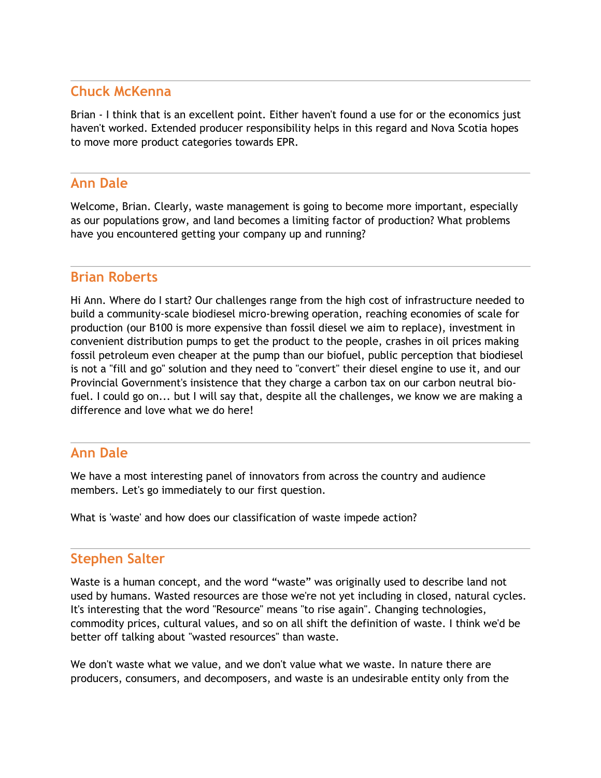## **Chuck McKenna**

Brian - I think that is an excellent point. Either haven't found a use for or the economics just haven't worked. Extended producer responsibility helps in this regard and Nova Scotia hopes to move more product categories towards EPR.

# **Ann Dale**

Welcome, Brian. Clearly, waste management is going to become more important, especially as our populations grow, and land becomes a limiting factor of production? What problems have you encountered getting your company up and running?

### **Brian Roberts**

Hi Ann. Where do I start? Our challenges range from the high cost of infrastructure needed to build a community-scale biodiesel micro-brewing operation, reaching economies of scale for production (our B100 is more expensive than fossil diesel we aim to replace), investment in convenient distribution pumps to get the product to the people, crashes in oil prices making fossil petroleum even cheaper at the pump than our biofuel, public perception that biodiesel is not a "fill and go" solution and they need to "convert" their diesel engine to use it, and our Provincial Government's insistence that they charge a carbon tax on our carbon neutral biofuel. I could go on... but I will say that, despite all the challenges, we know we are making a difference and love what we do here!

### **Ann Dale**

We have a most interesting panel of innovators from across the country and audience members. Let's go immediately to our first question.

What is 'waste' and how does our classification of waste impede action?

### **Stephen Salter**

Waste is a human concept, and the word "waste" was originally used to describe land not used by humans. Wasted resources are those we're not yet including in closed, natural cycles. It's interesting that the word "Resource" means "to rise again". Changing technologies, commodity prices, cultural values, and so on all shift the definition of waste. I think we'd be better off talking about "wasted resources" than waste.

We don't waste what we value, and we don't value what we waste. In nature there are producers, consumers, and decomposers, and waste is an undesirable entity only from the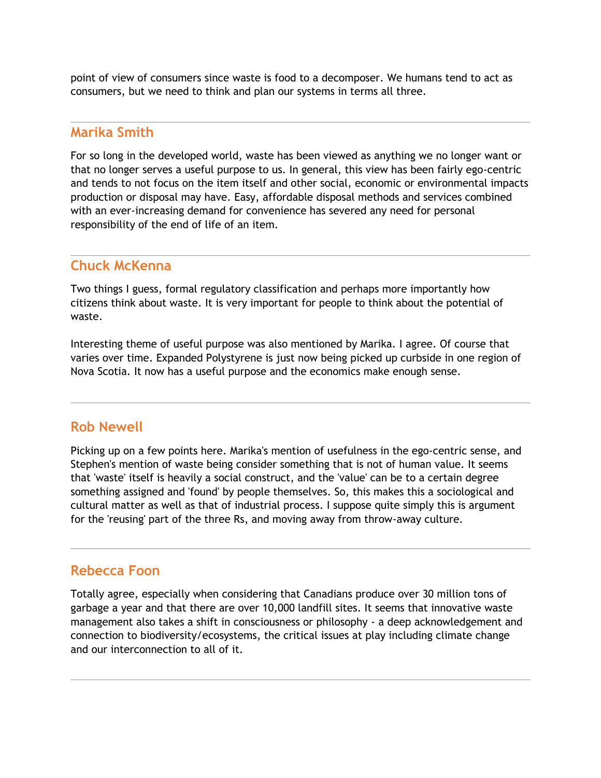point of view of consumers since waste is food to a decomposer. We humans tend to act as consumers, but we need to think and plan our systems in terms all three.

#### **Marika Smith**

For so long in the developed world, waste has been viewed as anything we no longer want or that no longer serves a useful purpose to us. In general, this view has been fairly ego-centric and tends to not focus on the item itself and other social, economic or environmental impacts production or disposal may have. Easy, affordable disposal methods and services combined with an ever-increasing demand for convenience has severed any need for personal responsibility of the end of life of an item.

#### **Chuck McKenna**

Two things I guess, formal regulatory classification and perhaps more importantly how citizens think about waste. It is very important for people to think about the potential of waste.

Interesting theme of useful purpose was also mentioned by Marika. I agree. Of course that varies over time. Expanded Polystyrene is just now being picked up curbside in one region of Nova Scotia. It now has a useful purpose and the economics make enough sense.

#### **Rob Newell**

Picking up on a few points here. Marika's mention of usefulness in the ego-centric sense, and Stephen's mention of waste being consider something that is not of human value. It seems that 'waste' itself is heavily a social construct, and the 'value' can be to a certain degree something assigned and 'found' by people themselves. So, this makes this a sociological and cultural matter as well as that of industrial process. I suppose quite simply this is argument for the 'reusing' part of the three Rs, and moving away from throw-away culture.

#### **Rebecca Foon**

Totally agree, especially when considering that Canadians produce over 30 million tons of garbage a year and that there are over 10,000 landfill sites. It seems that innovative waste management also takes a shift in consciousness or philosophy - a deep acknowledgement and connection to biodiversity/ecosystems, the critical issues at play including climate change and our interconnection to all of it.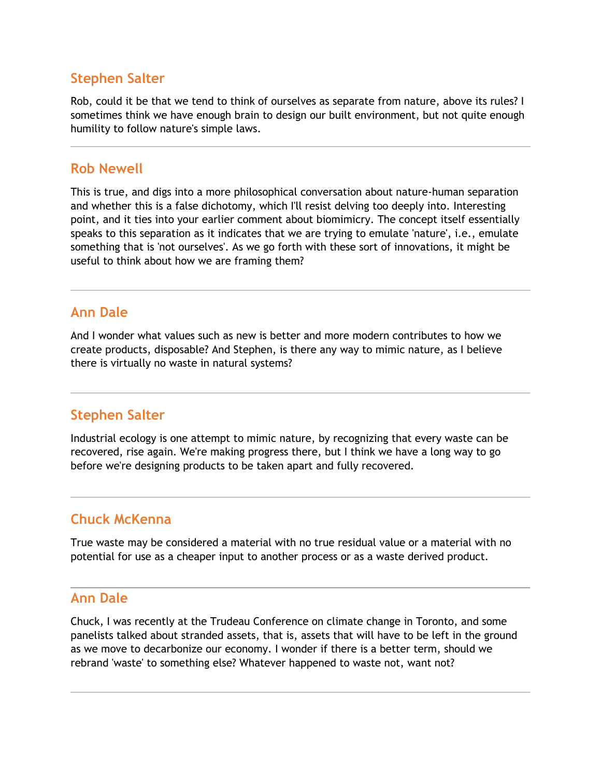Rob, could it be that we tend to think of ourselves as separate from nature, above its rules? I sometimes think we have enough brain to design our built environment, but not quite enough humility to follow nature's simple laws.

#### **Rob Newell**

This is true, and digs into a more philosophical conversation about nature-human separation and whether this is a false dichotomy, which I'll resist delving too deeply into. Interesting point, and it ties into your earlier comment about biomimicry. The concept itself essentially speaks to this separation as it indicates that we are trying to emulate 'nature', i.e., emulate something that is 'not ourselves'. As we go forth with these sort of innovations, it might be useful to think about how we are framing them?

### **Ann Dale**

And I wonder what values such as new is better and more modern contributes to how we create products, disposable? And Stephen, is there any way to mimic nature, as I believe there is virtually no waste in natural systems?

# **Stephen Salter**

Industrial ecology is one attempt to mimic nature, by recognizing that every waste can be recovered, rise again. We're making progress there, but I think we have a long way to go before we're designing products to be taken apart and fully recovered.

### **Chuck McKenna**

True waste may be considered a material with no true residual value or a material with no potential for use as a cheaper input to another process or as a waste derived product.

#### **Ann Dale**

Chuck, I was recently at the Trudeau Conference on climate change in Toronto, and some panelists talked about stranded assets, that is, assets that will have to be left in the ground as we move to decarbonize our economy. I wonder if there is a better term, should we rebrand 'waste' to something else? Whatever happened to waste not, want not?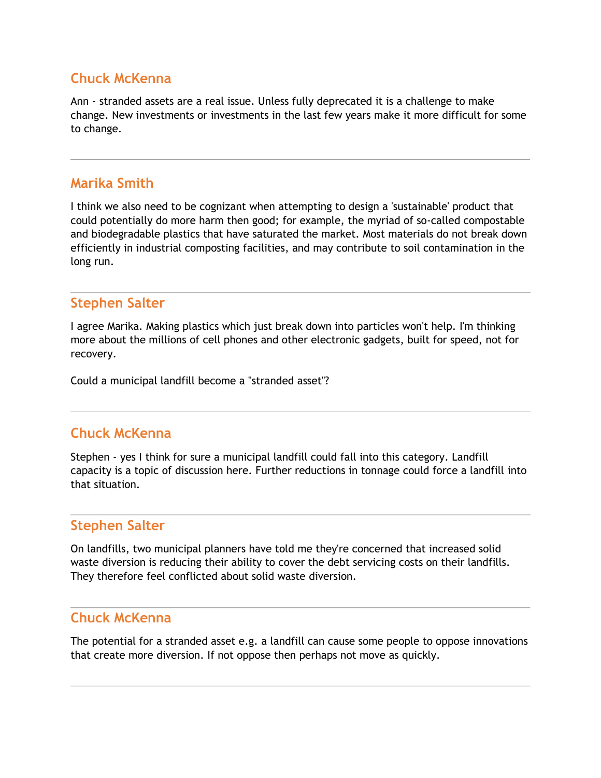# **Chuck McKenna**

Ann - stranded assets are a real issue. Unless fully deprecated it is a challenge to make change. New investments or investments in the last few years make it more difficult for some to change.

### **Marika Smith**

I think we also need to be cognizant when attempting to design a 'sustainable' product that could potentially do more harm then good; for example, the myriad of so-called compostable and biodegradable plastics that have saturated the market. Most materials do not break down efficiently in industrial composting facilities, and may contribute to soil contamination in the long run.

### **Stephen Salter**

I agree Marika. Making plastics which just break down into particles won't help. I'm thinking more about the millions of cell phones and other electronic gadgets, built for speed, not for recovery.

Could a municipal landfill become a "stranded asset"?

### **Chuck McKenna**

Stephen - yes I think for sure a municipal landfill could fall into this category. Landfill capacity is a topic of discussion here. Further reductions in tonnage could force a landfill into that situation.

#### **Stephen Salter**

On landfills, two municipal planners have told me they're concerned that increased solid waste diversion is reducing their ability to cover the debt servicing costs on their landfills. They therefore feel conflicted about solid waste diversion.

#### **Chuck McKenna**

The potential for a stranded asset e.g. a landfill can cause some people to oppose innovations that create more diversion. If not oppose then perhaps not move as quickly.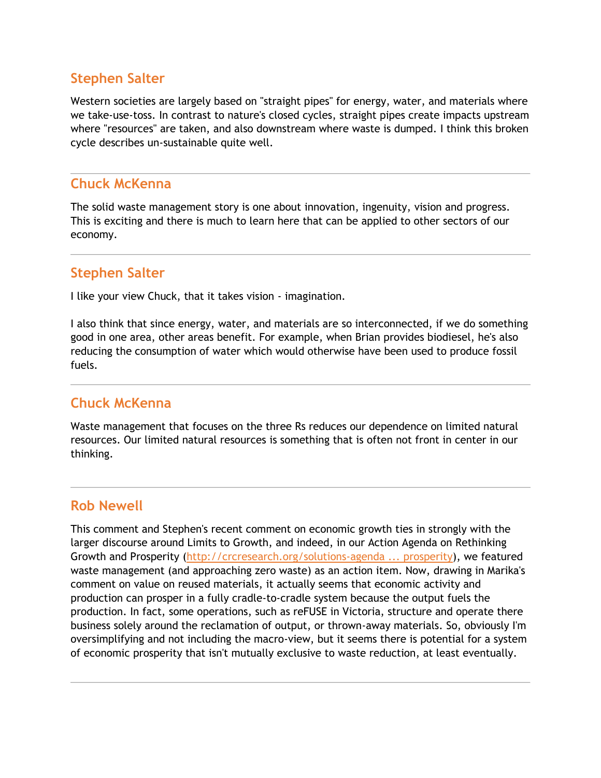Western societies are largely based on "straight pipes" for energy, water, and materials where we take-use-toss. In contrast to nature's closed cycles, straight pipes create impacts upstream where "resources" are taken, and also downstream where waste is dumped. I think this broken cycle describes un-sustainable quite well.

### **Chuck McKenna**

The solid waste management story is one about innovation, ingenuity, vision and progress. This is exciting and there is much to learn here that can be applied to other sectors of our economy.

#### **Stephen Salter**

I like your view Chuck, that it takes vision - imagination.

I also think that since energy, water, and materials are so interconnected, if we do something good in one area, other areas benefit. For example, when Brian provides biodiesel, he's also reducing the consumption of water which would otherwise have been used to produce fossil fuels.

### **Chuck McKenna**

Waste management that focuses on the three Rs reduces our dependence on limited natural resources. Our limited natural resources is something that is often not front in center in our thinking.

### **Rob Newell**

This comment and Stephen's recent comment on economic growth ties in strongly with the larger discourse around Limits to Growth, and indeed, in our Action Agenda on Rethinking Growth and Prosperity [\(http://crcresearch.org/solutions-agenda ... prosperity\)](http://crcresearch.org/solutions-agenda/action-agenda-rethinking-growth-and-prosperity), we featured waste management (and approaching zero waste) as an action item. Now, drawing in Marika's comment on value on reused materials, it actually seems that economic activity and production can prosper in a fully cradle-to-cradle system because the output fuels the production. In fact, some operations, such as reFUSE in Victoria, structure and operate there business solely around the reclamation of output, or thrown-away materials. So, obviously I'm oversimplifying and not including the macro-view, but it seems there is potential for a system of economic prosperity that isn't mutually exclusive to waste reduction, at least eventually.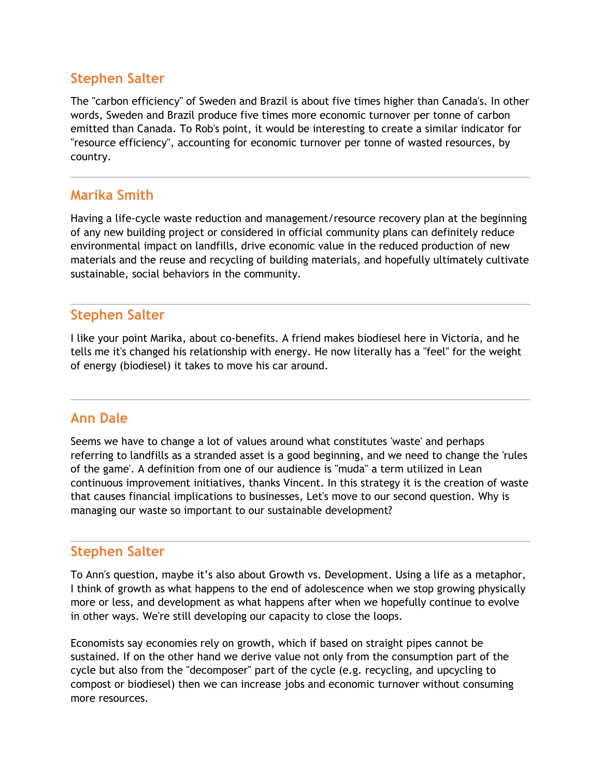The "carbon efficiency" of Sweden and Brazil is about five times higher than Canada's. In other words, Sweden and Brazil produce five times more economic turnover per tonne of carbon emitted than Canada. To Rob's point, it would be interesting to create a similar indicator for "resource efficiency", accounting for economic turnover per tonne of wasted resources, by country.

## **Marika Smith**

Having a life-cycle waste reduction and management/resource recovery plan at the beginning of any new building project or considered in official community plans can definitely reduce environmental impact on landfills, drive economic value in the reduced production of new materials and the reuse and recycling of building materials, and hopefully ultimately cultivate sustainable, social behaviors in the community.

### **Stephen Salter**

I like your point Marika, about co-benefits. A friend makes biodiesel here in Victoria, and he tells me it's changed his relationship with energy. He now literally has a "feel" for the weight of energy (biodiesel) it takes to move his car around.

# **Ann Dale**

Seems we have to change a lot of values around what constitutes 'waste' and perhaps referring to landfills as a stranded asset is a good beginning, and we need to change the 'rules of the game'. A definition from one of our audience is "muda" a term utilized in Lean continuous improvement initiatives, thanks Vincent. In this strategy it is the creation of waste that causes financial implications to businesses, Let's move to our second question. Why is managing our waste so important to our sustainable development?

### **Stephen Salter**

To Ann's question, maybe it's also about Growth vs. Development. Using a life as a metaphor, I think of growth as what happens to the end of adolescence when we stop growing physically more or less, and development as what happens after when we hopefully continue to evolve in other ways. We're still developing our capacity to close the loops.

Economists say economies rely on growth, which if based on straight pipes cannot be sustained. If on the other hand we derive value not only from the consumption part of the cycle but also from the "decomposer" part of the cycle (e.g. recycling, and upcycling to compost or biodiesel) then we can increase jobs and economic turnover without consuming more resources.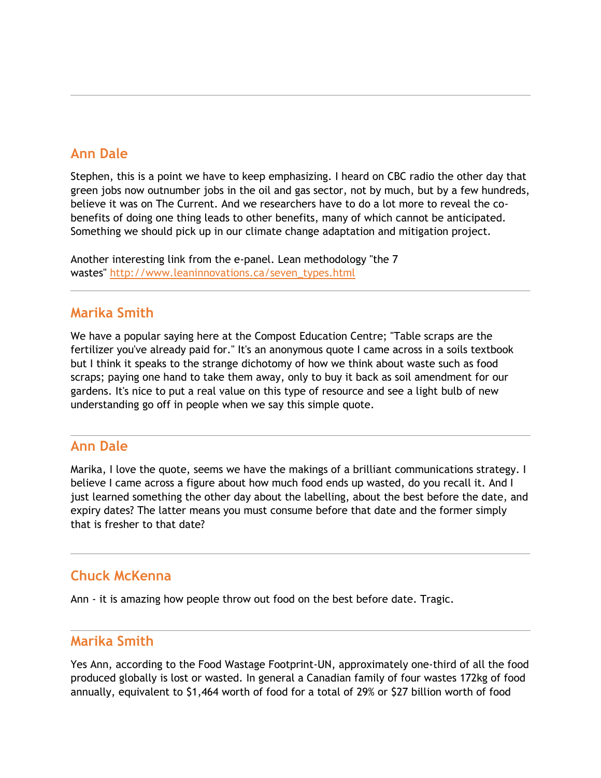## **Ann Dale**

Stephen, this is a point we have to keep emphasizing. I heard on CBC radio the other day that green jobs now outnumber jobs in the oil and gas sector, not by much, but by a few hundreds, believe it was on The Current. And we researchers have to do a lot more to reveal the cobenefits of doing one thing leads to other benefits, many of which cannot be anticipated. Something we should pick up in our climate change adaptation and mitigation project.

Another interesting link from the e-panel. Lean methodology "the 7 wastes" [http://www.leaninnovations.ca/seven\\_types.html](http://www.leaninnovations.ca/seven_types.html)

#### **Marika Smith**

We have a popular saying here at the Compost Education Centre; "Table scraps are the fertilizer you've already paid for." It's an anonymous quote I came across in a soils textbook but I think it speaks to the strange dichotomy of how we think about waste such as food scraps; paying one hand to take them away, only to buy it back as soil amendment for our gardens. It's nice to put a real value on this type of resource and see a light bulb of new understanding go off in people when we say this simple quote.

#### **Ann Dale**

Marika, I love the quote, seems we have the makings of a brilliant communications strategy. I believe I came across a figure about how much food ends up wasted, do you recall it. And I just learned something the other day about the labelling, about the best before the date, and expiry dates? The latter means you must consume before that date and the former simply that is fresher to that date?

#### **Chuck McKenna**

Ann - it is amazing how people throw out food on the best before date. Tragic.

#### **Marika Smith**

Yes Ann, according to the Food Wastage Footprint-UN, approximately one-third of all the food produced globally is lost or wasted. In general a Canadian family of four wastes 172kg of food annually, equivalent to \$1,464 worth of food for a total of 29% or \$27 billion worth of food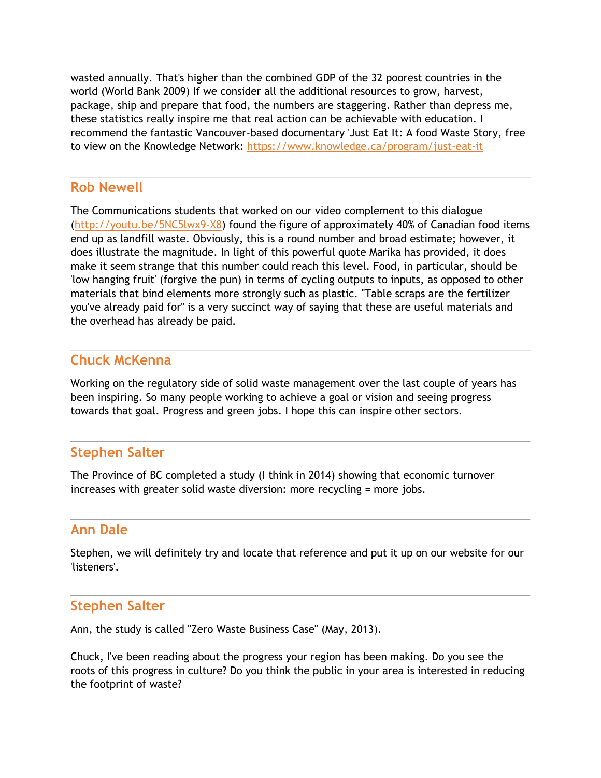wasted annually. That's higher than the combined GDP of the 32 poorest countries in the world (World Bank 2009) If we consider all the additional resources to grow, harvest, package, ship and prepare that food, the numbers are staggering. Rather than depress me, these statistics really inspire me that real action can be achievable with education. I recommend the fantastic Vancouver-based documentary 'Just Eat It: A food Waste Story, free to view on the Knowledge Network: <https://www.knowledge.ca/program/just-eat-it>

#### **Rob Newell**

The Communications students that worked on our video complement to this dialogue [\(http://youtu.be/5NC5lwx9-X8\)](http://youtu.be/5NC5lwx9-X8) found the figure of approximately 40% of Canadian food items end up as landfill waste. Obviously, this is a round number and broad estimate; however, it does illustrate the magnitude. In light of this powerful quote Marika has provided, it does make it seem strange that this number could reach this level. Food, in particular, should be 'low hanging fruit' (forgive the pun) in terms of cycling outputs to inputs, as opposed to other materials that bind elements more strongly such as plastic. "Table scraps are the fertilizer you've already paid for" is a very succinct way of saying that these are useful materials and the overhead has already be paid.

## **Chuck McKenna**

Working on the regulatory side of solid waste management over the last couple of years has been inspiring. So many people working to achieve a goal or vision and seeing progress towards that goal. Progress and green jobs. I hope this can inspire other sectors.

### **Stephen Salter**

The Province of BC completed a study (I think in 2014) showing that economic turnover increases with greater solid waste diversion: more recycling = more jobs.

### **Ann Dale**

Stephen, we will definitely try and locate that reference and put it up on our website for our 'listeners'.

### **Stephen Salter**

Ann, the study is called "Zero Waste Business Case" (May, 2013).

Chuck, I've been reading about the progress your region has been making. Do you see the roots of this progress in culture? Do you think the public in your area is interested in reducing the footprint of waste?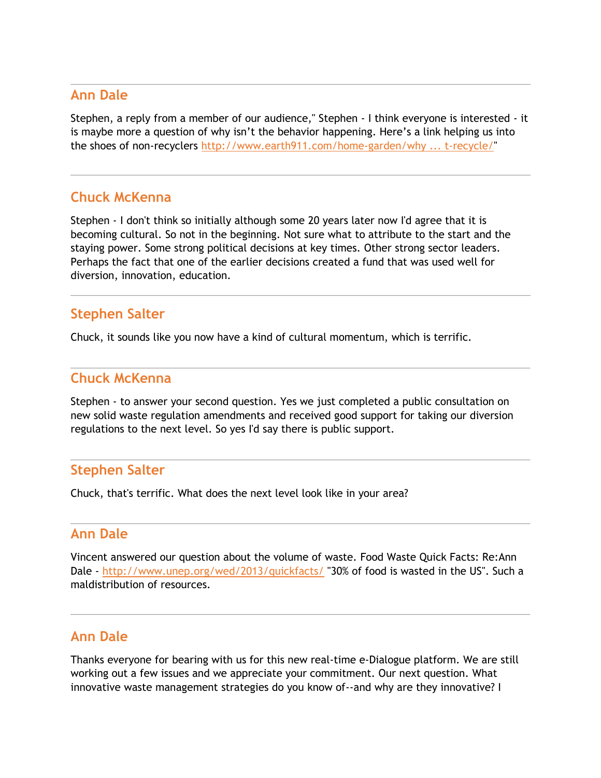#### **Ann Dale**

Stephen, a reply from a member of our audience," Stephen - I think everyone is interested - it is maybe more a question of why isn't the behavior happening. Here's a link helping us into the shoes of non-recyclers [http://www.earth911.com/home-garden/why](http://www.earth911.com/home-garden/why ...%20t-recycle/) ... t-recycle/"

## **Chuck McKenna**

Stephen - I don't think so initially although some 20 years later now I'd agree that it is becoming cultural. So not in the beginning. Not sure what to attribute to the start and the staying power. Some strong political decisions at key times. Other strong sector leaders. Perhaps the fact that one of the earlier decisions created a fund that was used well for diversion, innovation, education.

#### **Stephen Salter**

Chuck, it sounds like you now have a kind of cultural momentum, which is terrific.

#### **Chuck McKenna**

Stephen - to answer your second question. Yes we just completed a public consultation on new solid waste regulation amendments and received good support for taking our diversion regulations to the next level. So yes I'd say there is public support.

### **Stephen Salter**

Chuck, that's terrific. What does the next level look like in your area?

#### **Ann Dale**

Vincent answered our question about the volume of waste. Food Waste Quick Facts: Re:Ann Dale - <http://www.unep.org/wed/2013/quickfacts/> "30% of food is wasted in the US". Such a maldistribution of resources.

### **Ann Dale**

Thanks everyone for bearing with us for this new real-time e-Dialogue platform. We are still working out a few issues and we appreciate your commitment. Our next question. What innovative waste management strategies do you know of--and why are they innovative? I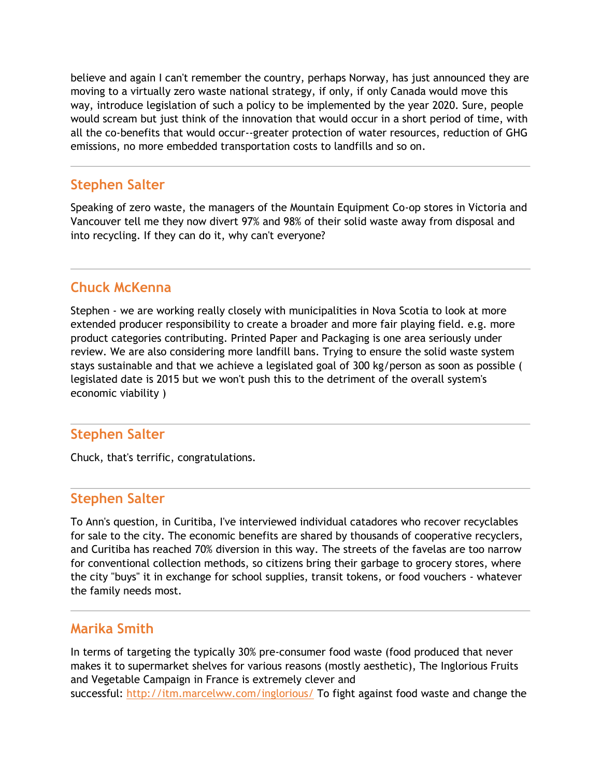believe and again I can't remember the country, perhaps Norway, has just announced they are moving to a virtually zero waste national strategy, if only, if only Canada would move this way, introduce legislation of such a policy to be implemented by the year 2020. Sure, people would scream but just think of the innovation that would occur in a short period of time, with all the co-benefits that would occur--greater protection of water resources, reduction of GHG emissions, no more embedded transportation costs to landfills and so on.

### **Stephen Salter**

Speaking of zero waste, the managers of the Mountain Equipment Co-op stores in Victoria and Vancouver tell me they now divert 97% and 98% of their solid waste away from disposal and into recycling. If they can do it, why can't everyone?

## **Chuck McKenna**

Stephen - we are working really closely with municipalities in Nova Scotia to look at more extended producer responsibility to create a broader and more fair playing field. e.g. more product categories contributing. Printed Paper and Packaging is one area seriously under review. We are also considering more landfill bans. Trying to ensure the solid waste system stays sustainable and that we achieve a legislated goal of 300 kg/person as soon as possible ( legislated date is 2015 but we won't push this to the detriment of the overall system's economic viability )

#### **Stephen Salter**

Chuck, that's terrific, congratulations.

#### **Stephen Salter**

To Ann's question, in Curitiba, I've interviewed individual catadores who recover recyclables for sale to the city. The economic benefits are shared by thousands of cooperative recyclers, and Curitiba has reached 70% diversion in this way. The streets of the favelas are too narrow for conventional collection methods, so citizens bring their garbage to grocery stores, where the city "buys" it in exchange for school supplies, transit tokens, or food vouchers - whatever the family needs most.

#### **Marika Smith**

In terms of targeting the typically 30% pre-consumer food waste (food produced that never makes it to supermarket shelves for various reasons (mostly aesthetic), The Inglorious Fruits and Vegetable Campaign in France is extremely clever and successful: <http://itm.marcelww.com/inglorious/> To fight against food waste and change the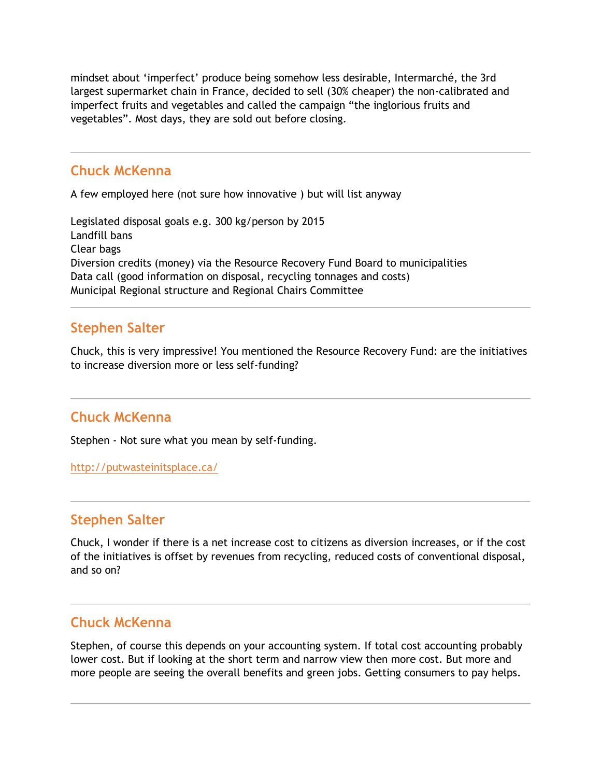mindset about 'imperfect' produce being somehow less desirable, Intermarché, the 3rd largest supermarket chain in France, decided to sell (30% cheaper) the non-calibrated and imperfect fruits and vegetables and called the campaign "the inglorious fruits and vegetables". Most days, they are sold out before closing.

### **Chuck McKenna**

A few employed here (not sure how innovative ) but will list anyway

Legislated disposal goals e.g. 300 kg/person by 2015 Landfill bans Clear bags Diversion credits (money) via the Resource Recovery Fund Board to municipalities Data call (good information on disposal, recycling tonnages and costs) Municipal Regional structure and Regional Chairs Committee

# **Stephen Salter**

Chuck, this is very impressive! You mentioned the Resource Recovery Fund: are the initiatives to increase diversion more or less self-funding?

# **Chuck McKenna**

Stephen - Not sure what you mean by self-funding.

<http://putwasteinitsplace.ca/>

### **Stephen Salter**

Chuck, I wonder if there is a net increase cost to citizens as diversion increases, or if the cost of the initiatives is offset by revenues from recycling, reduced costs of conventional disposal, and so on?

### **Chuck McKenna**

Stephen, of course this depends on your accounting system. If total cost accounting probably lower cost. But if looking at the short term and narrow view then more cost. But more and more people are seeing the overall benefits and green jobs. Getting consumers to pay helps.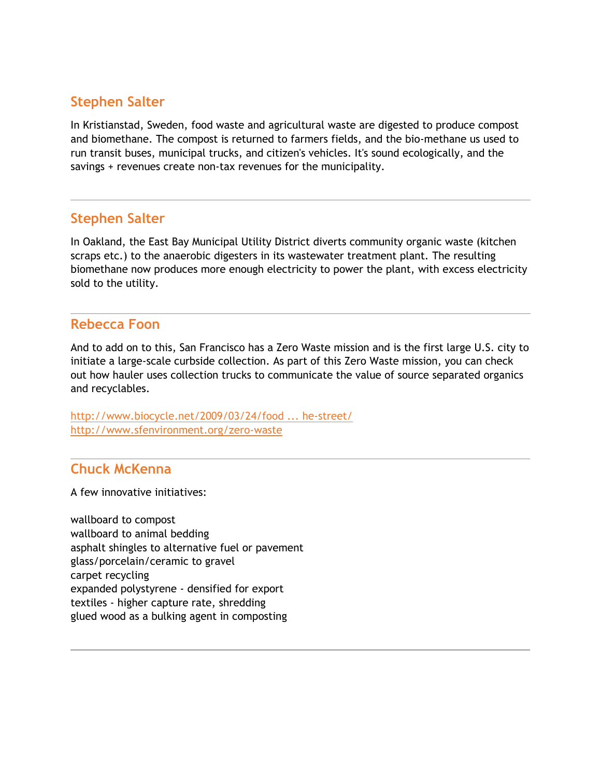In Kristianstad, Sweden, food waste and agricultural waste are digested to produce compost and biomethane. The compost is returned to farmers fields, and the bio-methane us used to run transit buses, municipal trucks, and citizen's vehicles. It's sound ecologically, and the savings + revenues create non-tax revenues for the municipality.

### **Stephen Salter**

In Oakland, the East Bay Municipal Utility District diverts community organic waste (kitchen scraps etc.) to the anaerobic digesters in its wastewater treatment plant. The resulting biomethane now produces more enough electricity to power the plant, with excess electricity sold to the utility.

## **Rebecca Foon**

And to add on to this, San Francisco has a Zero Waste mission and is the first large U.S. city to initiate a large-scale curbside collection. As part of this Zero Waste mission, you can check out how hauler uses collection trucks to communicate the value of source separated organics and recyclables.

[http://www.biocycle.net/2009/03/24/food ... he-street/](http://www.biocycle.net/2009/03/24/food-waste-diversion-promoted-on-the-street/) <http://www.sfenvironment.org/zero-waste>

### **Chuck McKenna**

A few innovative initiatives:

wallboard to compost wallboard to animal bedding asphalt shingles to alternative fuel or pavement glass/porcelain/ceramic to gravel carpet recycling expanded polystyrene - densified for export textiles - higher capture rate, shredding glued wood as a bulking agent in composting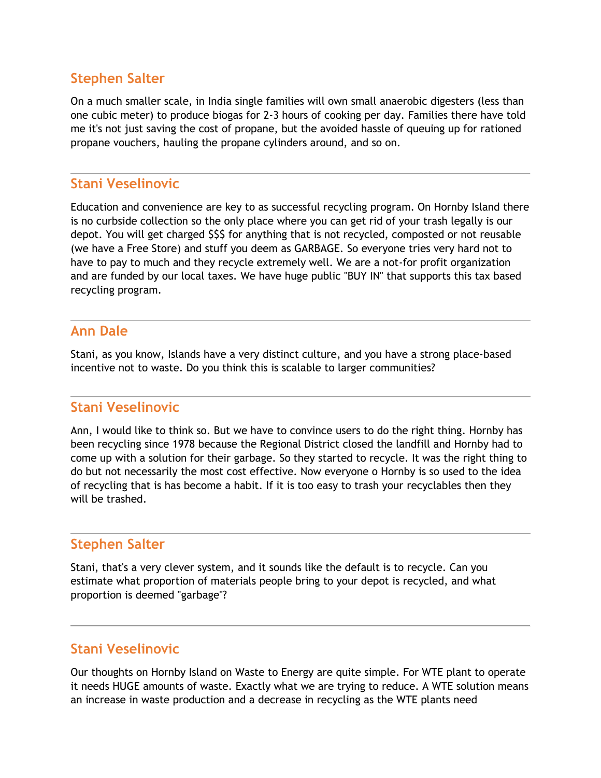On a much smaller scale, in India single families will own small anaerobic digesters (less than one cubic meter) to produce biogas for 2-3 hours of cooking per day. Families there have told me it's not just saving the cost of propane, but the avoided hassle of queuing up for rationed propane vouchers, hauling the propane cylinders around, and so on.

#### **Stani Veselinovic**

Education and convenience are key to as successful recycling program. On Hornby Island there is no curbside collection so the only place where you can get rid of your trash legally is our depot. You will get charged \$\$\$ for anything that is not recycled, composted or not reusable (we have a Free Store) and stuff you deem as GARBAGE. So everyone tries very hard not to have to pay to much and they recycle extremely well. We are a not-for profit organization and are funded by our local taxes. We have huge public "BUY IN" that supports this tax based recycling program.

#### **Ann Dale**

Stani, as you know, Islands have a very distinct culture, and you have a strong place-based incentive not to waste. Do you think this is scalable to larger communities?

#### **Stani Veselinovic**

Ann, I would like to think so. But we have to convince users to do the right thing. Hornby has been recycling since 1978 because the Regional District closed the landfill and Hornby had to come up with a solution for their garbage. So they started to recycle. It was the right thing to do but not necessarily the most cost effective. Now everyone o Hornby is so used to the idea of recycling that is has become a habit. If it is too easy to trash your recyclables then they will be trashed.

### **Stephen Salter**

Stani, that's a very clever system, and it sounds like the default is to recycle. Can you estimate what proportion of materials people bring to your depot is recycled, and what proportion is deemed "garbage"?

### **Stani Veselinovic**

Our thoughts on Hornby Island on Waste to Energy are quite simple. For WTE plant to operate it needs HUGE amounts of waste. Exactly what we are trying to reduce. A WTE solution means an increase in waste production and a decrease in recycling as the WTE plants need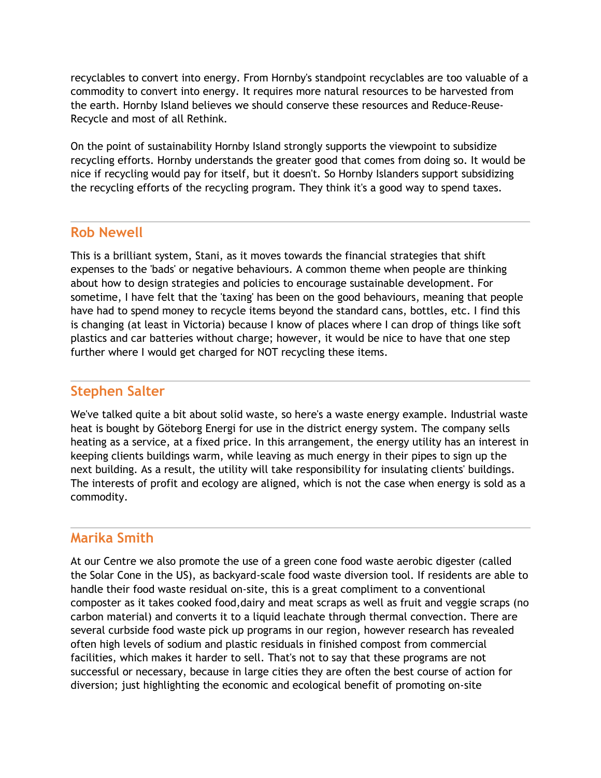recyclables to convert into energy. From Hornby's standpoint recyclables are too valuable of a commodity to convert into energy. It requires more natural resources to be harvested from the earth. Hornby Island believes we should conserve these resources and Reduce-Reuse-Recycle and most of all Rethink.

On the point of sustainability Hornby Island strongly supports the viewpoint to subsidize recycling efforts. Hornby understands the greater good that comes from doing so. It would be nice if recycling would pay for itself, but it doesn't. So Hornby Islanders support subsidizing the recycling efforts of the recycling program. They think it's a good way to spend taxes.

#### **Rob Newell**

This is a brilliant system, Stani, as it moves towards the financial strategies that shift expenses to the 'bads' or negative behaviours. A common theme when people are thinking about how to design strategies and policies to encourage sustainable development. For sometime, I have felt that the 'taxing' has been on the good behaviours, meaning that people have had to spend money to recycle items beyond the standard cans, bottles, etc. I find this is changing (at least in Victoria) because I know of places where I can drop of things like soft plastics and car batteries without charge; however, it would be nice to have that one step further where I would get charged for NOT recycling these items.

### **Stephen Salter**

We've talked quite a bit about solid waste, so here's a waste energy example. Industrial waste heat is bought by Göteborg Energi for use in the district energy system. The company sells heating as a service, at a fixed price. In this arrangement, the energy utility has an interest in keeping clients buildings warm, while leaving as much energy in their pipes to sign up the next building. As a result, the utility will take responsibility for insulating clients' buildings. The interests of profit and ecology are aligned, which is not the case when energy is sold as a commodity.

### **Marika Smith**

At our Centre we also promote the use of a green cone food waste aerobic digester (called the Solar Cone in the US), as backyard-scale food waste diversion tool. If residents are able to handle their food waste residual on-site, this is a great compliment to a conventional composter as it takes cooked food,dairy and meat scraps as well as fruit and veggie scraps (no carbon material) and converts it to a liquid leachate through thermal convection. There are several curbside food waste pick up programs in our region, however research has revealed often high levels of sodium and plastic residuals in finished compost from commercial facilities, which makes it harder to sell. That's not to say that these programs are not successful or necessary, because in large cities they are often the best course of action for diversion; just highlighting the economic and ecological benefit of promoting on-site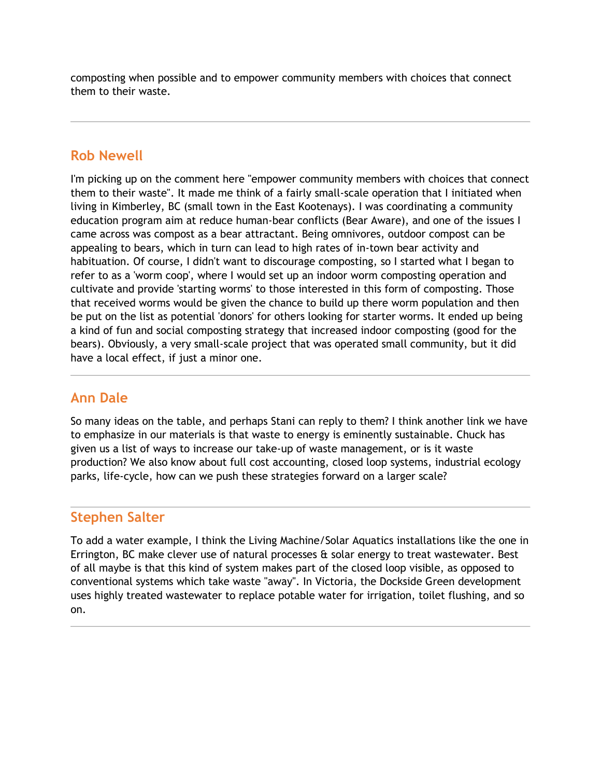composting when possible and to empower community members with choices that connect them to their waste.

# **Rob Newell**

I'm picking up on the comment here "empower community members with choices that connect them to their waste". It made me think of a fairly small-scale operation that I initiated when living in Kimberley, BC (small town in the East Kootenays). I was coordinating a community education program aim at reduce human-bear conflicts (Bear Aware), and one of the issues I came across was compost as a bear attractant. Being omnivores, outdoor compost can be appealing to bears, which in turn can lead to high rates of in-town bear activity and habituation. Of course, I didn't want to discourage composting, so I started what I began to refer to as a 'worm coop', where I would set up an indoor worm composting operation and cultivate and provide 'starting worms' to those interested in this form of composting. Those that received worms would be given the chance to build up there worm population and then be put on the list as potential 'donors' for others looking for starter worms. It ended up being a kind of fun and social composting strategy that increased indoor composting (good for the bears). Obviously, a very small-scale project that was operated small community, but it did have a local effect, if just a minor one.

# **Ann Dale**

So many ideas on the table, and perhaps Stani can reply to them? I think another link we have to emphasize in our materials is that waste to energy is eminently sustainable. Chuck has given us a list of ways to increase our take-up of waste management, or is it waste production? We also know about full cost accounting, closed loop systems, industrial ecology parks, life-cycle, how can we push these strategies forward on a larger scale?

### **Stephen Salter**

To add a water example, I think the Living Machine/Solar Aquatics installations like the one in Errington, BC make clever use of natural processes & solar energy to treat wastewater. Best of all maybe is that this kind of system makes part of the closed loop visible, as opposed to conventional systems which take waste "away". In Victoria, the Dockside Green development uses highly treated wastewater to replace potable water for irrigation, toilet flushing, and so on.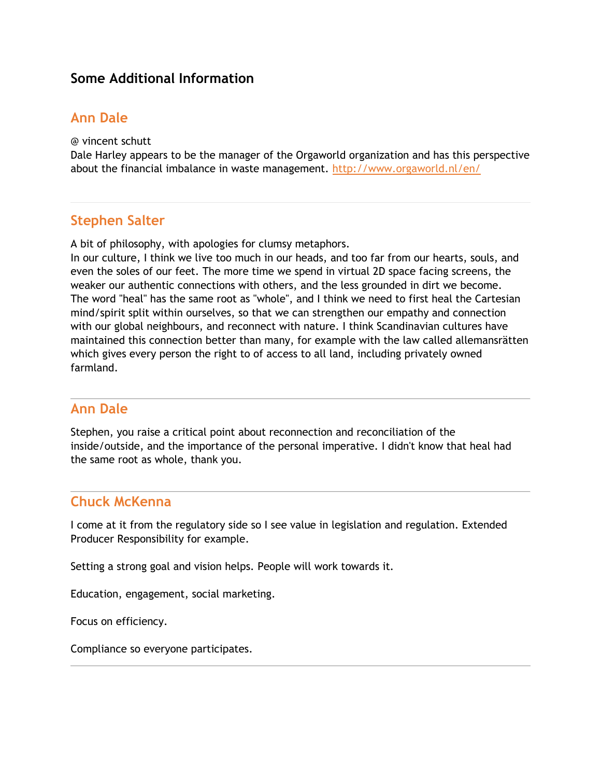### **Some Additional Information**

### **Ann Dale**

@ vincent schutt

Dale Harley appears to be the manager of the Orgaworld organization and has this perspective about the financial imbalance in waste management. <http://www.orgaworld.nl/en/>

#### **Stephen Salter**

A bit of philosophy, with apologies for clumsy metaphors.

In our culture, I think we live too much in our heads, and too far from our hearts, souls, and even the soles of our feet. The more time we spend in virtual 2D space facing screens, the weaker our authentic connections with others, and the less grounded in dirt we become. The word "heal" has the same root as "whole", and I think we need to first heal the Cartesian mind/spirit split within ourselves, so that we can strengthen our empathy and connection with our global neighbours, and reconnect with nature. I think Scandinavian cultures have maintained this connection better than many, for example with the law called allemansrätten which gives every person the right to of access to all land, including privately owned farmland.

#### **Ann Dale**

Stephen, you raise a critical point about reconnection and reconciliation of the inside/outside, and the importance of the personal imperative. I didn't know that heal had the same root as whole, thank you.

#### **Chuck McKenna**

I come at it from the regulatory side so I see value in legislation and regulation. Extended Producer Responsibility for example.

Setting a strong goal and vision helps. People will work towards it.

Education, engagement, social marketing.

Focus on efficiency.

Compliance so everyone participates.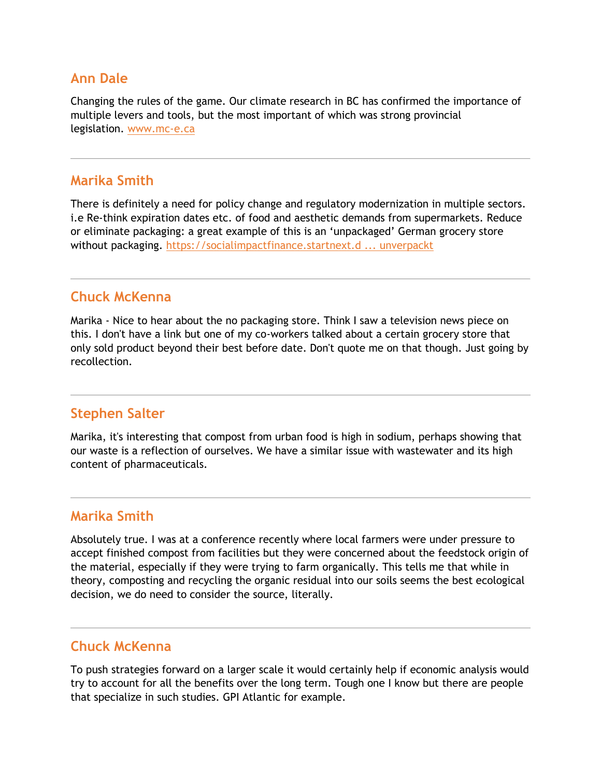#### **Ann Dale**

Changing the rules of the game. Our climate research in BC has confirmed the importance of multiple levers and tools, but the most important of which was strong provincial legislation. [www.mc-e.ca](http://www.mc-e.ca/)

#### **Marika Smith**

There is definitely a need for policy change and regulatory modernization in multiple sectors. i.e Re-think expiration dates etc. of food and aesthetic demands from supermarkets. Reduce or eliminate packaging: a great example of this is an 'unpackaged' German grocery store without packaging. [https://socialimpactfinance.startnext.d ... unverpackt](https://socialimpactfinance.startnext.de/original-unverpackt)

### **Chuck McKenna**

Marika - Nice to hear about the no packaging store. Think I saw a television news piece on this. I don't have a link but one of my co-workers talked about a certain grocery store that only sold product beyond their best before date. Don't quote me on that though. Just going by recollection.

### **Stephen Salter**

Marika, it's interesting that compost from urban food is high in sodium, perhaps showing that our waste is a reflection of ourselves. We have a similar issue with wastewater and its high content of pharmaceuticals.

#### **Marika Smith**

Absolutely true. I was at a conference recently where local farmers were under pressure to accept finished compost from facilities but they were concerned about the feedstock origin of the material, especially if they were trying to farm organically. This tells me that while in theory, composting and recycling the organic residual into our soils seems the best ecological decision, we do need to consider the source, literally.

### **Chuck McKenna**

To push strategies forward on a larger scale it would certainly help if economic analysis would try to account for all the benefits over the long term. Tough one I know but there are people that specialize in such studies. GPI Atlantic for example.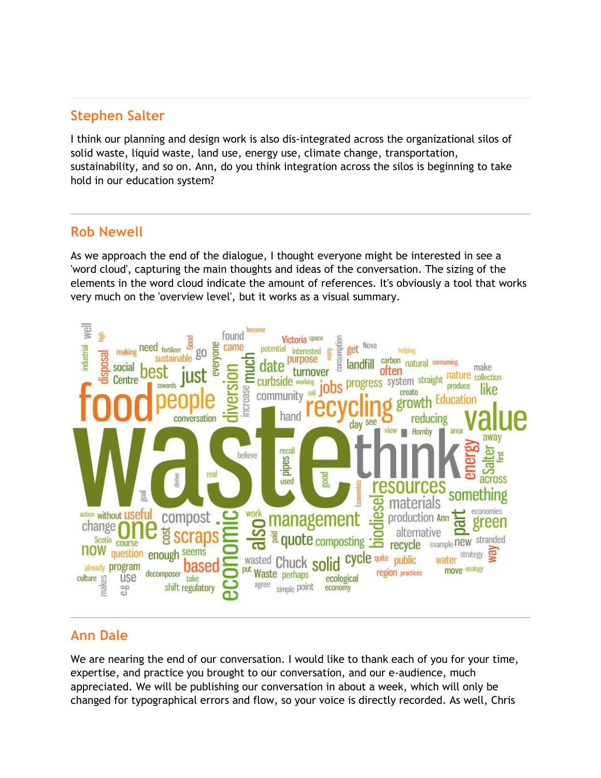I think our planning and design work is also dis-integrated across the organizational silos of solid waste, liquid waste, land use, energy use, climate change, transportation, sustainability, and so on. Ann, do you think integration across the silos is beginning to take hold in our education system?

#### **Rob Newell**

As we approach the end of the dialogue, I thought everyone might be interested in see a 'word cloud', capturing the main thoughts and ideas of the conversation. The sizing of the elements in the word cloud indicate the amount of references. It's obviously a tool that works very much on the 'overview level', but it works as a visual summary.



# **Ann Dale**

We are nearing the end of our conversation. I would like to thank each of you for your time, expertise, and practice you brought to our conversation, and our e-audience, much appreciated. We will be publishing our conversation in about a week, which will only be changed for typographical errors and flow, so your voice is directly recorded. As well, Chris